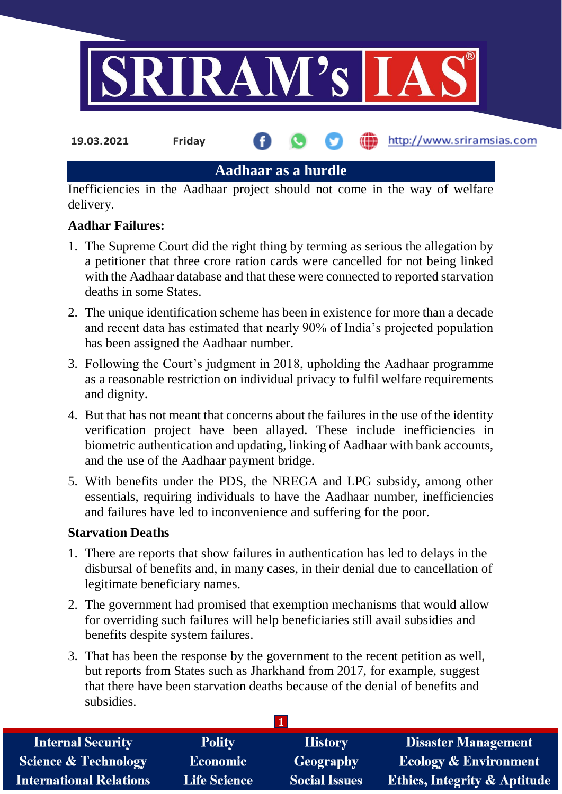

**Aadhaar as a hurdle**

Inefficiencies in the Aadhaar project should not come in the way of welfare delivery.

## **Aadhar Failures:**

- 1. The Supreme Court did the right thing by terming as serious the allegation by a petitioner that three crore ration cards were cancelled for not being linked with the Aadhaar database and that these were connected to reported starvation deaths in some States.
- 2. The unique identification scheme has been in existence for more than a decade and recent data has estimated that nearly 90% of India's projected population has been assigned the Aadhaar number.
- 3. Following the Court's judgment in 2018, upholding the Aadhaar programme as a reasonable restriction on individual privacy to fulfil welfare requirements and dignity.
- 4. But that has not meant that concerns about the failures in the use of the identity verification project have been allayed. These include inefficiencies in biometric authentication and updating, linking of Aadhaar with bank accounts, and the use of the Aadhaar payment bridge.
- 5. With benefits under the PDS, the NREGA and LPG subsidy, among other essentials, requiring individuals to have the Aadhaar number, inefficiencies and failures have led to inconvenience and suffering for the poor.

## **Starvation Deaths**

- 1. There are reports that show failures in authentication has led to delays in the disbursal of benefits and, in many cases, in their denial due to cancellation of legitimate beneficiary names.
- 2. The government had promised that exemption mechanisms that would allow for overriding such failures will help beneficiaries still avail subsidies and benefits despite system failures.
- 3. That has been the response by the government to the recent petition as well, but reports from States such as Jharkhand from 2017, for example, suggest that there have been starvation deaths because of the denial of benefits and subsidies.

| <b>Internal Security</b>        | <b>Polity</b>       | <b>History</b>       | <b>Disaster Management</b>              |
|---------------------------------|---------------------|----------------------|-----------------------------------------|
| <b>Science &amp; Technology</b> | <b>Economic</b>     | Geography            | <b>Ecology &amp; Environment</b>        |
| <b>International Relations</b>  | <b>Life Science</b> | <b>Social Issues</b> | <b>Ethics, Integrity &amp; Aptitude</b> |